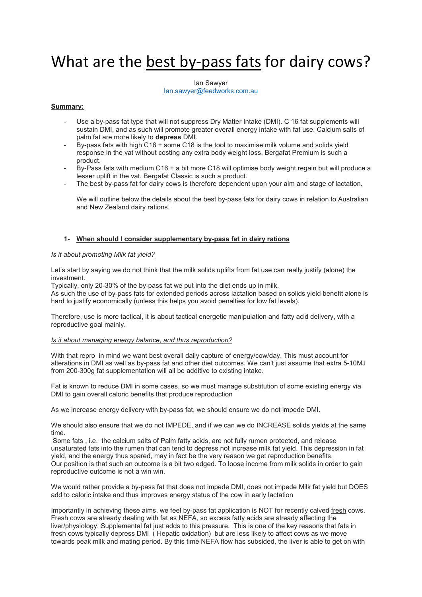# What are the best by-pass fats for dairy cows?

Ian Sawyer [Ian.sawyer@feedworks.com.au](mailto:Ian.sawyer@feedworks.com.au)

# **Summary:**

- Use a by-pass fat type that will not suppress Dry Matter Intake (DMI). C 16 fat supplements will sustain DMI, and as such will promote greater overall energy intake with fat use. Calcium salts of palm fat are more likely to **depress** DMI.
- By-pass fats with high C16 + some C18 is the tool to maximise milk volume and solids yield response in the vat without costing any extra body weight loss. Bergafat Premium is such a product.
- By-Pass fats with medium C16 + a bit more C18 will optimise body weight regain but will produce a lesser uplift in the vat. Bergafat Classic is such a product.
- The best by-pass fat for dairy cows is therefore dependent upon your aim and stage of lactation.

We will outline below the details about the best by-pass fats for dairy cows in relation to Australian and New Zealand dairy rations.

### **1- When should I consider supplementary by-pass fat in dairy rations**

#### *Is it about promoting Milk fat yield?*

Let's start by saying we do not think that the milk solids uplifts from fat use can really justify (alone) the investment.

Typically, only 20-30% of the by-pass fat we put into the diet ends up in milk.

As such the use of by-pass fats for extended periods across lactation based on solids yield benefit alone is hard to justify economically (unless this helps you avoid penalties for low fat levels).

Therefore, use is more tactical, it is about tactical energetic manipulation and fatty acid delivery, with a reproductive goal mainly.

#### *Is it about managing energy balance, and thus reproduction?*

With that repro in mind we want best overall daily capture of energy/cow/day. This must account for alterations in DMI as well as by-pass fat and other diet outcomes. We can't just assume that extra 5-10MJ from 200-300g fat supplementation will all be additive to existing intake.

Fat is known to reduce DMI in some cases, so we must manage substitution of some existing energy via DMI to gain overall caloric benefits that produce reproduction

As we increase energy delivery with by-pass fat, we should ensure we do not impede DMI.

We should also ensure that we do not IMPEDE, and if we can we do INCREASE solids yields at the same time.

Some fats , i.e. the calcium salts of Palm fatty acids, are not fully rumen protected, and release unsaturated fats into the rumen that can tend to depress not increase milk fat yield. This depression in fat yield, and the energy thus spared, may in fact be the very reason we get reproduction benefits. Our position is that such an outcome is a bit two edged. To loose income from milk solids in order to gain reproductive outcome is not a win win.

We would rather provide a by-pass fat that does not impede DMI, does not impede Milk fat yield but DOES add to caloric intake and thus improves energy status of the cow in early lactation

Importantly in achieving these aims, we feel by-pass fat application is NOT for recently calved fresh cows. Fresh cows are already dealing with fat as NEFA, so excess fatty acids are already affecting the liver/physiology. Supplemental fat just adds to this pressure. This is one of the key reasons that fats in fresh cows typically depress DMI ( Hepatic oxidation) but are less likely to affect cows as we move towards peak milk and mating period. By this time NEFA flow has subsided, the liver is able to get on with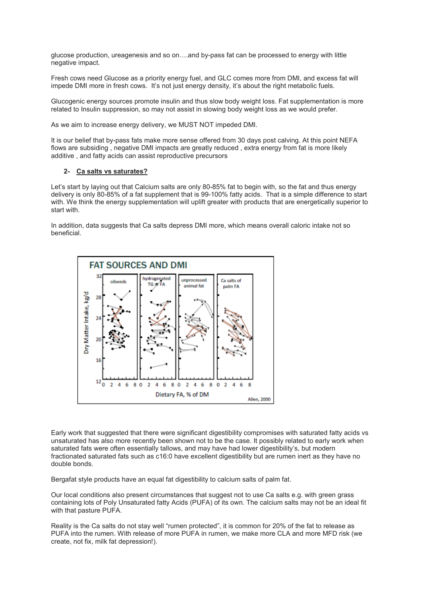glucose production, ureagenesis and so on….and by-pass fat can be processed to energy with little negative impact.

Fresh cows need Glucose as a priority energy fuel, and GLC comes more from DMI, and excess fat will impede DMI more in fresh cows. It's not just energy density, it's about the right metabolic fuels.

Glucogenic energy sources promote insulin and thus slow body weight loss. Fat supplementation is more related to Insulin suppression, so may not assist in slowing body weight loss as we would prefer.

As we aim to increase energy delivery, we MUST NOT impeded DMI.

It is our belief that by-pass fats make more sense offered from 30 days post calving. At this point NEFA flows are subsiding , negative DMI impacts are greatly reduced , extra energy from fat is more likely additive , and fatty acids can assist reproductive precursors

#### **2- Ca salts vs saturates?**

Let's start by laying out that Calcium salts are only 80-85% fat to begin with, so the fat and thus energy delivery is only 80-85% of a fat supplement that is 99-100% fatty acids. That is a simple difference to start with. We think the energy supplementation will uplift greater with products that are energetically superior to start with.

In addition, data suggests that Ca salts depress DMI more, which means overall caloric intake not so beneficial.



Early work that suggested that there were significant digestibility compromises with saturated fatty acids vs unsaturated has also more recently been shown not to be the case. It possibly related to early work when saturated fats were often essentially tallows, and may have had lower digestibility's, but modern fractionated saturated fats such as c16:0 have excellent digestibility but are rumen inert as they have no double bonds.

Bergafat style products have an equal fat digestibility to calcium salts of palm fat.

Our local conditions also present circumstances that suggest not to use Ca salts e.g. with green grass containing lots of Poly Unsaturated fatty Acids (PUFA) of its own. The calcium salts may not be an ideal fit with that pasture PUFA.

Reality is the Ca salts do not stay well "rumen protected", it is common for 20% of the fat to release as PUFA into the rumen. With release of more PUFA in rumen, we make more CLA and more MFD risk (we create, not fix, milk fat depression!).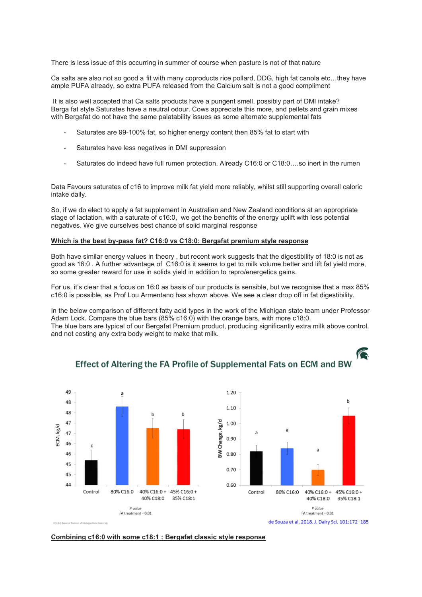There is less issue of this occurring in summer of course when pasture is not of that nature

Ca salts are also not so good a fit with many coproducts rice pollard, DDG, high fat canola etc…they have ample PUFA already, so extra PUFA released from the Calcium salt is not a good compliment

It is also well accepted that Ca salts products have a pungent smell, possibly part of DMI intake? Berga fat style Saturates have a neutral odour. Cows appreciate this more, and pellets and grain mixes with Bergafat do not have the same palatability issues as some alternate supplemental fats

- Saturates are 99-100% fat, so higher energy content then 85% fat to start with
- Saturates have less negatives in DMI suppression
- Saturates do indeed have full rumen protection. Already C16:0 or C18:0….so inert in the rumen

Data Favours saturates of c16 to improve milk fat yield more reliably, whilst still supporting overall caloric intake daily.

So, if we do elect to apply a fat supplement in Australian and New Zealand conditions at an appropriate stage of lactation, with a saturate of c16:0, we get the benefits of the energy uplift with less potential negatives. We give ourselves best chance of solid marginal response

#### **Which is the best by-pass fat? C16:0 vs C18:0: Bergafat premium style response**

Both have similar energy values in theory , but recent work suggests that the digestibility of 18:0 is not as good as 16:0 . A further advantage of C16:0 is it seems to get to milk volume better and lift fat yield more, so some greater reward for use in solids yield in addition to repro/energetics gains.

For us, it's clear that a focus on 16:0 as basis of our products is sensible, but we recognise that a max 85% c16:0 is possible, as Prof Lou Armentano has shown above. We see a clear drop off in fat digestibility.

In the below comparison of different fatty acid types in the work of the Michigan state team under Professor Adam Lock. Compare the blue bars (85% c16:0) with the orange bars, with more c18:0. The blue bars are typical of our Bergafat Premium product, producing significantly extra milk above control, and not costing any extra body weight to make that milk.



# Effect of Altering the FA Profile of Supplemental Fats on ECM and BW

**Contract Contract Contract Contract Contract Contract Contract Contract Contract Contract Contract Contract C** 

**Combining c16:0 with some c18:1 : Bergafat classic style response**